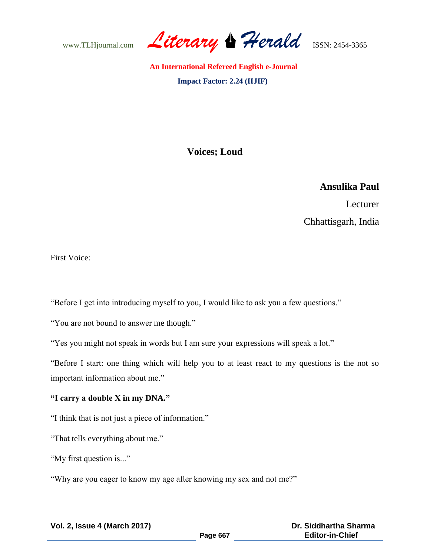www.TLHjournal.com *Literary Herald*ISSN: 2454-3365

# **Voices; Loud**

# **Ansulika Paul**

Lecturer Chhattisgarh, India

First Voice:

"Before I get into introducing myself to you, I would like to ask you a few questions."

"You are not bound to answer me though."

"Yes you might not speak in words but I am sure your expressions will speak a lot."

"Before I start: one thing which will help you to at least react to my questions is the not so important information about me."

## **"I carry a double X in my DNA."**

"I think that is not just a piece of information."

"That tells everything about me."

"My first question is..."

"Why are you eager to know my age after knowing my sex and not me?"

| <b>Vol. 2, Issue 4 (March 2017)</b> |  |  |  |  |
|-------------------------------------|--|--|--|--|
|-------------------------------------|--|--|--|--|

 **Dr. Siddhartha Sharma Editor-in-Chief**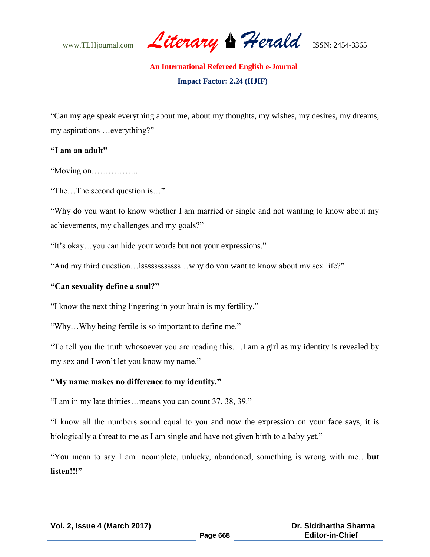www.TLHjournal.com *Literary Herald*ISSN: 2454-3365

"Can my age speak everything about me, about my thoughts, my wishes, my desires, my dreams, my aspirations …everything?"

# **"I am an adult"**

"Moving on……………..

"The…The second question is…"

"Why do you want to know whether I am married or single and not wanting to know about my achievements, my challenges and my goals?"

"It's okay…you can hide your words but not your expressions."

"And my third question... issssssssssssssssssss...why do you want to know about my sex life?"

#### **"Can sexuality define a soul?"**

"I know the next thing lingering in your brain is my fertility."

"Why…Why being fertile is so important to define me."

"To tell you the truth whosoever you are reading this….I am a girl as my identity is revealed by my sex and I won't let you know my name."

## **"My name makes no difference to my identity."**

"I am in my late thirties…means you can count 37, 38, 39."

"I know all the numbers sound equal to you and now the expression on your face says, it is biologically a threat to me as I am single and have not given birth to a baby yet."

"You mean to say I am incomplete, unlucky, abandoned, something is wrong with me…**but listen!!!"**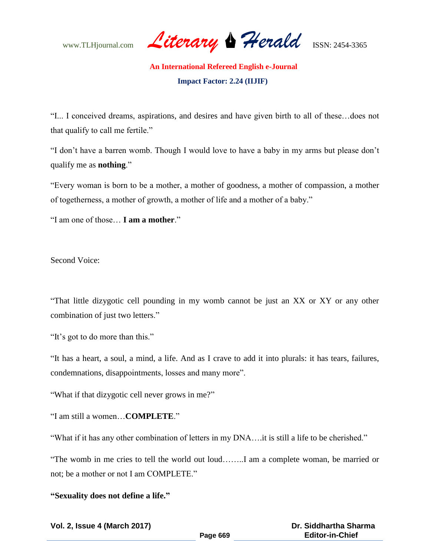www.TLHjournal.com *Literary Herald*ISSN: 2454-3365

"I... I conceived dreams, aspirations, and desires and have given birth to all of these…does not that qualify to call me fertile."

"I don't have a barren womb. Though I would love to have a baby in my arms but please don't qualify me as **nothing**."

"Every woman is born to be a mother, a mother of goodness, a mother of compassion, a mother of togetherness, a mother of growth, a mother of life and a mother of a baby."

"I am one of those… **I am a mother**."

Second Voice:

"That little dizygotic cell pounding in my womb cannot be just an XX or XY or any other combination of just two letters."

"It's got to do more than this."

"It has a heart, a soul, a mind, a life. And as I crave to add it into plurals: it has tears, failures, condemnations, disappointments, losses and many more".

"What if that dizygotic cell never grows in me?"

"I am still a women…**COMPLETE**."

"What if it has any other combination of letters in my DNA….it is still a life to be cherished."

"The womb in me cries to tell the world out loud……..I am a complete woman, be married or not; be a mother or not I am COMPLETE."

## **"Sexuality does not define a life."**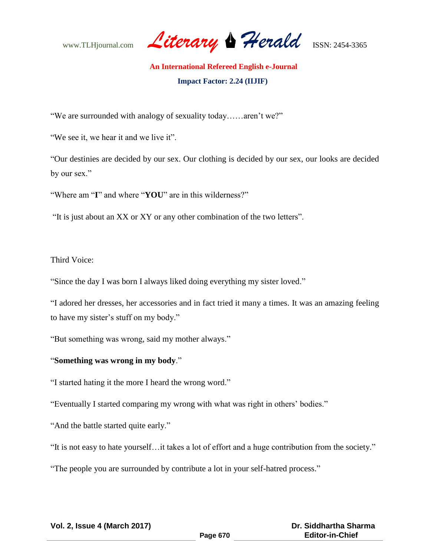www.TLHjournal.com *Literary Herald*ISSN: 2454-3365

"We are surrounded with analogy of sexuality today……aren't we?"

"We see it, we hear it and we live it".

"Our destinies are decided by our sex. Our clothing is decided by our sex, our looks are decided by our sex."

"Where am "**I**" and where "**YOU**" are in this wilderness?"

"It is just about an XX or XY or any other combination of the two letters".

## Third Voice:

"Since the day I was born I always liked doing everything my sister loved."

"I adored her dresses, her accessories and in fact tried it many a times. It was an amazing feeling to have my sister's stuff on my body."

"But something was wrong, said my mother always."

# "**Something was wrong in my body**."

"I started hating it the more I heard the wrong word."

"Eventually I started comparing my wrong with what was right in others' bodies."

"And the battle started quite early."

"It is not easy to hate yourself…it takes a lot of effort and a huge contribution from the society."

"The people you are surrounded by contribute a lot in your self-hatred process."